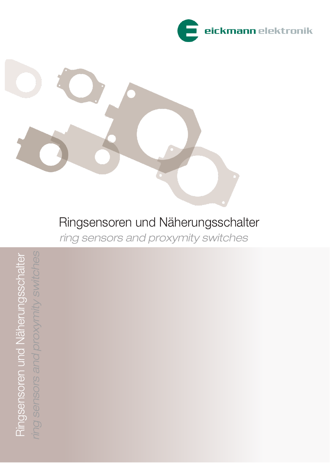



Ringsensoren und Näherungsschalter ring sensors and proxymity switches

ring sensors and proxymity switches Ringsensoren und Näherungsschalter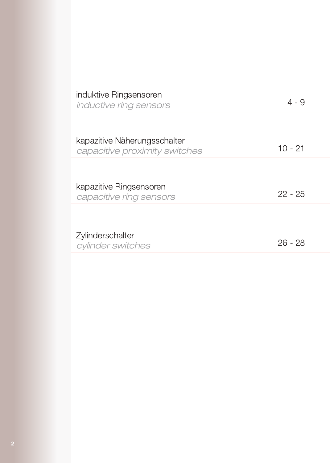| induktive Ringsensoren<br>inductive ring sensors              | 4 - 9     |
|---------------------------------------------------------------|-----------|
| kapazitive Näherungsschalter<br>capacitive proximity switches | $10 - 21$ |
| kapazitive Ringsensoren<br>capacitive ring sensors            | $22 - 25$ |
| Zylinderschalter<br>cylinder switches                         | $26 - 28$ |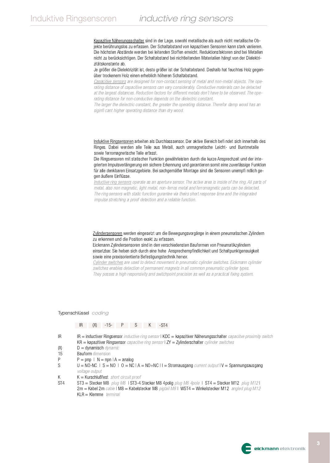Kapazitive Näherungsschalter sind in der Lage, sowohl metallische als auch nicht metallische Objekte berührungslos zu erfassen. Der Schaltabstand von kapazitiven Sensoren kann stark varijeren. Die höchsten Abstände werden bei leitenden Stoffen erreicht. Reduktionsfaktoren sind bei Metallen nicht zu berücksichtigen. Der Schaltabstand bei nichtleitenden Materialien hängt von der Dielektrizitätskonstante ab.

Je größer die Dielektrizität ist, desto größer ist der Schaltabstand. Deshalb hat feuchtes Holz gegenüber trockenem Holz einen erheblich höheren Schaltabstand.

Capacitive sensors are designed for non-contact sensing of metal and non-metal objects. The operating distance of capacitive sensors can vary considerably. Conductive materials can be detected at the largest distances. Reduction factors for different metals don't have to be observed. The operating distance for non-conductive depends on the dielectric constant.

The larger the dielectric constant, the greater the operating distance. Therefor damp wood has an siginfi cant higher operating distance than dry wood.

Induktive Ringsensoren arbeiten als Durchlasssensor. Der aktive Bereich befi ndet sich innerhalb des Ringes. Dabei werden alle Teile aus Metall, auch unmagnetische Leicht- und Buntmetalle sowie ferromagnetische Teile erfasst.

Die Ringsensoren mit statischer Funktion gewährleisten durch die kurze Ansprechzeit und der integrierten Impulsverlängerung ein sichere Erkennung und garantieren somit eine zuverlässige Funktion für alle denkbaren Einsatzgebiete. Bei sachgemäßer Montage sind die Sensoren unempfi ndlich gegen äußere Einflüsse.

Inductive ring sensors operate as an aperture sensor. The active area is inside of the ring. All parts of metal, also non magnetic, light metal, non-ferros metal and ferromagnetic parts can be detected. The ring sensors with static function gurantee via theirs short response time and the integrated impulse stretching a proof detection and a reliable function.

Zylindersensoren werden eingesetzt um die Bewegungsvorgänge in einem pneumatischen Zylindern zu erkennen und die Position exakt zu erfassen.

Eickmann Zylindersensoren sind in den verschiedensten Bauformen von Pneumatikzylindern einsetzbar. Sie heben sich durch eine hohe Ansprechempfindlichkeit und Schaltpunktgenauigkeit sowie eine praxisorientierte Befestigungstechnik hervor.

Cylinder switches are used to detect movement in pneumatic cylinder switches. Eickmann cylinder switches enables detection of permanent magnets in all common pneumatic cylinder types. They posses a high responsivity and switchpoint precision as well as a practical fixing system.

#### Typenschlüssel coding

### IR (X) -15- | P | S | K | -ST4

- $IR$  $IR =$  inductiver Ringsensor *inductive ring sensor*  $I KDC =$  kapazitiver Näherungsschalter *capacitve proximity switch*  $KR =$  kapazitiver Ringsensor *capacitve ring sensor*  $2Y = 2$ ylinderschalter *cylinder switches*
- $(X)$  $D =$  dynamisch dynamic
- Bauform dimension 15
- $\mathsf{P}$  $P = pnp$  | N = npn | A = analog
- S  $U = NO-NC$  | S = NO | O = NC | A = NO+NC | I = Stromausgang current output | V = Spannungsausgang voltage output
- K  $K =$  Kurschlußfest short circuit proof

 $KLR = Klemme$  terminal

ST<sub>4</sub> ST3 = Stecker M8 plug M8 | ST3-4 Stecker M8 4polig plug M8 4pole | ST4 = Stecker M12 plug M12 | 2m = Kabel 2m cable | M8 = Kabelstecker M8 pigtail M8 | WST4 = Winkelstecker M12 angled plug M12

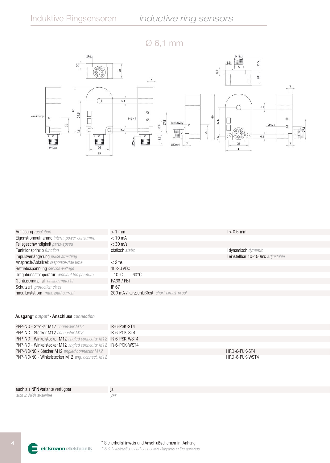$\varnothing$  6,1 mm



| $>1$ mm                                     | $\geq 0.5$ mm                     |
|---------------------------------------------|-----------------------------------|
| $< 10 \text{ mA}$                           |                                   |
| $<$ 30 m/s                                  |                                   |
| statisch static                             | l dynamisch dynamic               |
|                                             | l einstellbar 10-150ms adjustable |
| $<$ 2ms                                     |                                   |
| 10-30 VDC                                   |                                   |
| $-10^{\circ}$ C  + 60 $^{\circ}$ C          |                                   |
| PA66 / PBT                                  |                                   |
| IP 67                                       |                                   |
| 200 mA / kurzschlußfest short-circuit-proof |                                   |
|                                             |                                   |

### Ausgang\* output\* - Anschluss connection

| <b>PNP-NO - Stecker M12</b> connector M12                            | IR-6-PSK-ST4     |
|----------------------------------------------------------------------|------------------|
| <b>PNP-NC - Stecker M12</b> connector M12                            | IR-6-POK-ST4     |
| <b>PNP-NO</b> - Winkelstecker M12 angled connector M12 IR-6-PSK-WST4 |                  |
| <b>PNP-NO</b> - Winkelstecker M12 angled connector M12 IR-6-POK-WST4 |                  |
| <b>PNP-NO/NC - Stecker M12</b> angled connector M12                  | I IRD-6-PUK-ST4  |
| PNP-NO/NC - Winkelstecker M12 ang. connect. M12                      | I IRD-6-PUK-WST4 |

| auch als NPN Variante verfügbar |      |
|---------------------------------|------|
| also in NPN available           | '/es |

Ε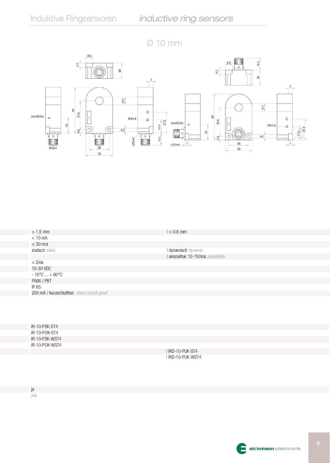



| $> 1,5$ mm                                  | $1 > 0,6$ mm                      |
|---------------------------------------------|-----------------------------------|
| $< 10$ mA                                   |                                   |
| $<$ 30 m/s                                  |                                   |
| statisch static                             | I dynamisch dynamic               |
|                                             | I einstellbar 10-150ms adjustable |
| $<$ 2ms                                     |                                   |
| 10-30 VDC                                   |                                   |
| $-10^{\circ}$ C $+60^{\circ}$ C             |                                   |
| PA66 / PBT                                  |                                   |
| IP 65                                       |                                   |
| 200 mA / kurzschlußfest short-circuit-proof |                                   |
|                                             |                                   |
|                                             |                                   |

| IR-10-PSK-ST4  |                   |
|----------------|-------------------|
| IR-10-POK-ST4  |                   |
| IR-10-PSK-WST4 |                   |
| IR-10-POK-WST4 |                   |
|                | I IRD-10-PUK-ST4  |
|                | I IRD-10-PUK-WST4 |

ja yes

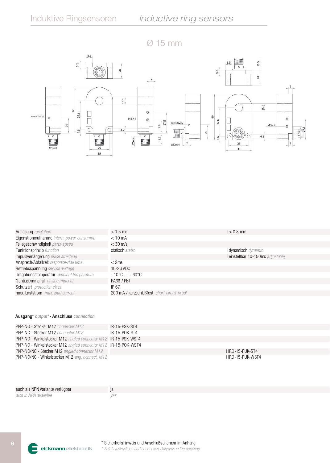## $\varnothing$  15 mm



| $> 1.5$ mm                                  | $> 0.8$ mm                      |
|---------------------------------------------|---------------------------------|
| $< 10$ mA                                   |                                 |
| $<$ 30 m/s                                  |                                 |
| statisch static                             | I dynamisch dynamic             |
|                                             | einstellbar 10-150ms adjustable |
| $<$ 2ms                                     |                                 |
| 10-30 VDC                                   |                                 |
| $-10^{\circ}$ C  + 60 $^{\circ}$ C          |                                 |
| PA66 / PBT                                  |                                 |
| IP 67                                       |                                 |
| 200 mA / kurzschlußfest short-circuit-proof |                                 |
|                                             |                                 |

### Ausgang\* output\* - Anschluss connection

| <b>PNP-NO - Stecker M12</b> connector M12                             | IR-15-PSK-ST4    |
|-----------------------------------------------------------------------|------------------|
| <b>PNP-NC - Stecker M12</b> connector M12                             | IR-15-POK-ST4    |
| <b>PNP-NO</b> - Winkelstecker M12 angled connector M12 IR-15-PSK-WST4 |                  |
| <b>PNP-NO</b> - Winkelstecker M12 angled connector M12 IR-15-POK-WST4 |                  |
| <b>PNP-NO/NC - Stecker M12</b> angled connector M12                   | LIRD-15-PUK-ST4  |
| <b>PNP-NO/NC - Winkelstecker M12</b> ang. connect. M12                | LIRD-15-PUK-WST4 |

| auch als NPN Variante verfügbar |     |
|---------------------------------|-----|
| also in NPN available           | ves |

E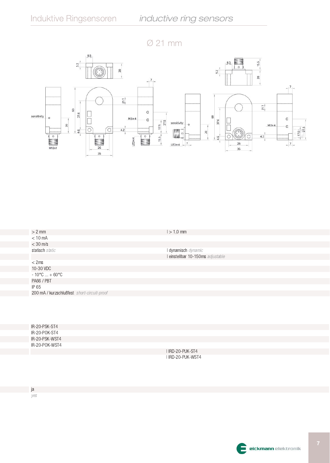



| $> 2$ mm                                    | $1 > 1,0$ mm                      |
|---------------------------------------------|-----------------------------------|
| $< 10$ mA                                   |                                   |
| $<$ 30 m/s                                  |                                   |
| statisch static                             | I dynamisch dynamic               |
|                                             | I einstellbar 10-150ms adjustable |
| $<$ 2ms                                     |                                   |
| 10-30 VDC                                   |                                   |
| $-10^{\circ}$ C $+60^{\circ}$ C             |                                   |
| PA66 / PBT                                  |                                   |
| IP 65                                       |                                   |
| 200 mA / kurzschlußfest short-circuit-proof |                                   |
|                                             |                                   |
|                                             |                                   |

| IR-20-PSK-ST4  |                   |
|----------------|-------------------|
| IR-20-POK-ST4  |                   |
| IR-20-PSK-WST4 |                   |
| IR-20-POK-WST4 |                   |
|                | I IRD-20-PUK-ST4  |
|                | I IRD-20-PUK-WST4 |

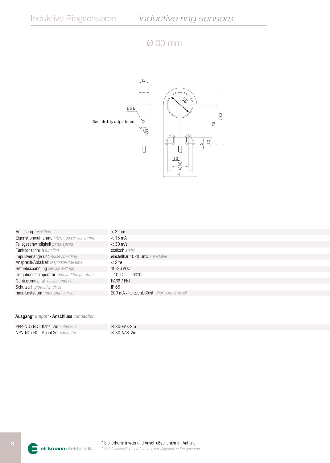## $\varnothing$  30 mm



| Auflösung resolution                       | $>$ 3 mm                                    |
|--------------------------------------------|---------------------------------------------|
| Eigenstromaufnahme intern. power consumpt. | $<$ 15 mA                                   |
| Teilegeschwindigkeit parts-speed           | $<$ 30 m/s                                  |
| Funktionsprinzip function                  | statisch static                             |
| Impulsverlängerung pulse streching         | einstellbar 10-150ms adjustable             |
| Ansprech/Abfallzeit response-/fall time    | $<$ 2ms                                     |
| Betriebsspannung service-voltage           | 10-30 VDC                                   |
| Umgebungstemperatur ambient temperature    | $-10^{\circ}$ C  + 60 $^{\circ}$ C          |
| Gehäusematerial casing material            | PA66 / PBT                                  |
| Schutzart protection class                 | IP 65                                       |
| max. Laststrom max. load current           | 200 mA / kurzschlußfest short-circuit-proof |

| PNP-NO+NC - Kabel 2m cable 2m | IR-30-PAK-2m |
|-------------------------------|--------------|
| NPN-NO+NC - Kabel 2m cable 2m | IR-30-NAK-2m |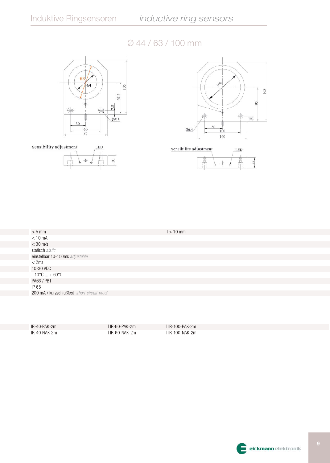



## Ø 44 / 63 / 100 mm



| $> 5$ mm                                    | $1 > 10$ mm |
|---------------------------------------------|-------------|
| $< 10$ mA                                   |             |
| $<$ 30 m/s                                  |             |
| statisch static                             |             |
| einstellbar 10-150ms adjustable             |             |
| $<$ 2ms                                     |             |
| 10-30 VDC                                   |             |
| $-10^{\circ}$ C  + 60 $^{\circ}$ C          |             |
| PA66 / PBT                                  |             |
| IP 65                                       |             |
| 200 mA / kurzschlußfest short-circuit-proof |             |
|                                             |             |

IR-40-PAK-2m IR-40-NAK-2m I IR-60-PAK-2m | IR-60-NAK-2m I IR-100-PAK-2m | IR-100-NAK-2m

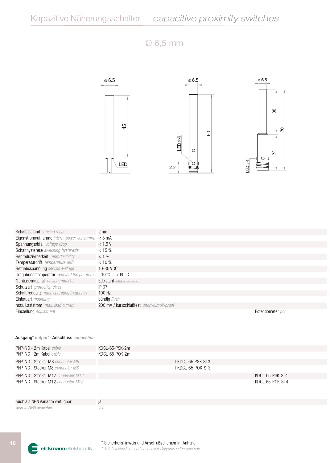## $\varnothing$  6,5 mm



| Schaltabstand sensing range                         | 2mm                                         |
|-----------------------------------------------------|---------------------------------------------|
| Eigenstromaufnahme intern. power consumpt. $< 8$ mA |                                             |
| Spannungsabfall voltage drop                        | < 1.5V                                      |
| Schalthysterese switching hysteresis                | $< 15 \%$                                   |
| Reproduzierbarkeit reproducibility                  | $< 1 \%$                                    |
| Temperaturdrift temperature drift                   | $< 10 \%$                                   |
| Betriebsspannung service-voltage                    | 10-30 VDC                                   |
| Umgebungstemperatur ambient temperature             | $-10^{\circ}$ C  + 60 °C                    |
| Gehäusematerial casing material                     | Edelstahl stainless steel                   |
| Schutzart protection class                          | IP 67                                       |
| Schaltfrequenz max. operating frequency             | $100$ Hz                                    |
| Einbauart <i>mounting</i>                           | bündig flush                                |
| max. Laststrom max. load current                    | 200 mA / kurzschlußfest short-circuit-proof |
| Einstellung Adjustment                              | I Potentiometer pot.                        |

| PNP-NO - 2m Kabel cable                 | KDCL-65-PSK-2m    |  |
|-----------------------------------------|-------------------|--|
| PNP-NC - 2m Kabel cable                 | KDCL-65-POK-2m    |  |
| <b>PNP-NO - Stecker M8</b> connector M8 | I KDCL-65-PSK-ST3 |  |
| <b>PNP-NC - Stecker M8 connector M8</b> | I KDCL-65-POK-ST3 |  |
| PNP-NO - Stecker M12 connector M12      | I KDCL-65-PSK-ST4 |  |
| PNP-NC - Stecker M12 connector M12      | I KDCL-65-POK-ST4 |  |
| auch als NPN Variante verfügbar         | ja                |  |
| also in NPN available                   | yes               |  |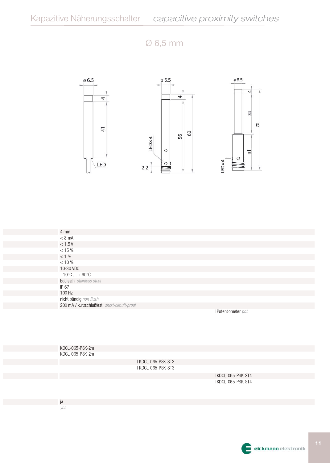## $\varnothing$  6,5 mm



| $4 \, \text{mm}$                            |                          |
|---------------------------------------------|--------------------------|
| $< 8$ mA                                    |                          |
| < 1,5V                                      |                          |
| $< 15 %$                                    |                          |
| < 1 %                                       |                          |
| < 10 %                                      |                          |
| 10-30 VDC                                   |                          |
| $-10^{\circ}$ C  + 60 $^{\circ}$ C          |                          |
| Edelstahl stainless steel                   |                          |
| IP 67                                       |                          |
| 100 Hz                                      |                          |
| nicht bündig non flush                      |                          |
| 200 mA / kurzschlußfest short-circuit-proof |                          |
|                                             | <b>Dotantiamator</b> not |

I Potentiometer pot.

| KDCL-065-PSK-2m |
|-----------------|
| KDCL-065-PSK-2m |

I KDCL-065-PSK-ST3 I KDCL-065-PSK-ST3

> I KDCL-065-PSK-ST4 I KDCL-065-PSK-ST4

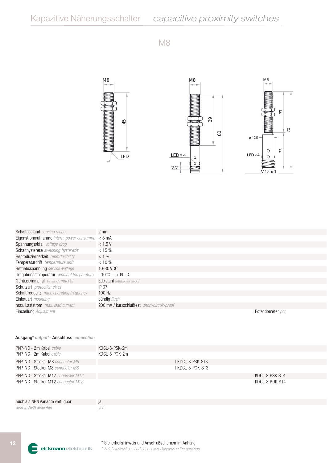



| <b>Schaltabstand</b> sensing range                | 2mm                                         |                      |
|---------------------------------------------------|---------------------------------------------|----------------------|
| Eigenstromaufnahme intern. power consumpt. < 8 mA |                                             |                      |
| Spannungsabfall voltage drop                      | < 1.5V                                      |                      |
| Schalthysterese switching hysteresis              | $< 15 \%$                                   |                      |
| Reproduzierbarkeit reproducibility                | $< 1 \%$                                    |                      |
| Temperaturdrift temperature drift                 | $< 10 \%$                                   |                      |
| Betriebsspannung service-voltage                  | 10-30 VDC                                   |                      |
| Umgebungstemperatur ambient temperature           | $-10^{\circ}$ C  + 60 $^{\circ}$ C          |                      |
| Gehäusematerial casing material                   | Edelstahl stainless steel                   |                      |
| Schutzart protection class                        | IP 67                                       |                      |
| Schaltfrequenz max. operating frequency           | $100$ Hz                                    |                      |
| Einbauart <i>mounting</i>                         | bündig flush                                |                      |
| max. Laststrom max. load current                  | 200 mA / kurzschlußfest short-circuit-proof |                      |
| <b>Einstellung</b> Adjustment                     |                                             | l Potentiometer pot. |
|                                                   |                                             |                      |

### Ausgang\* output\* - Anschluss connection

| PNP-NO - 2m Kabel cable                 | KDCL-8-PSK-2m |                  |                  |
|-----------------------------------------|---------------|------------------|------------------|
| PNP-NC - 2m Kabel cable                 | KDCL-8-POK-2m |                  |                  |
| <b>PNP-NO - Stecker M8</b> connector M8 |               | I KDCL-8-PSK-ST3 |                  |
| <b>PNP-NC - Stecker M8 connector M8</b> |               | I KDCL-8-POK-ST3 |                  |
| PNP-NO - Stecker M12 connector M12      |               |                  | I KDCL-8-PSK-ST4 |
| PNP-NC - Stecker M12 connector M12      |               |                  | I KDCL-8-POK-ST4 |
| auch als NPN Variante verfügbar         | ja            |                  |                  |
| also in NPN available                   | ves           |                  |                  |

\* Sicherheitshinweis und Anschlußschemen im Anhang eickmann elektronik \* Safety instructions and connection diagrams in the appendix

E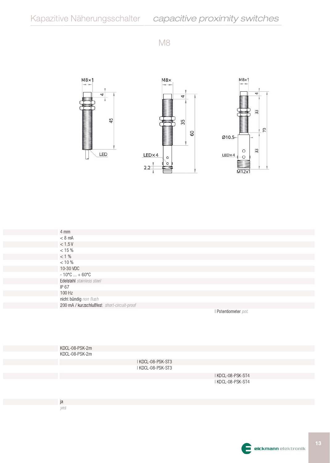

| 4 mm                                        |                   |  |
|---------------------------------------------|-------------------|--|
| $< 8$ mA                                    |                   |  |
| $<$ 1,5 V                                   |                   |  |
| $< 15 \%$                                   |                   |  |
| $< 1\%$                                     |                   |  |
| $< 10 \%$                                   |                   |  |
| 10-30 VDC                                   |                   |  |
| $-10^{\circ}$ C  + 60 $^{\circ}$ C          |                   |  |
| Edelstahl stainless steel                   |                   |  |
| IP 67                                       |                   |  |
| 100 Hz                                      |                   |  |
| nicht bündig non flush                      |                   |  |
| 200 mA / kurzschlußfest short-circuit-proof |                   |  |
|                                             | Potentiometer not |  |

**I Potentiometer** pot.

| KDCL-08-PSK-2m |                   |                         |  |
|----------------|-------------------|-------------------------|--|
| KDCL-08-PSK-2m |                   |                         |  |
|                | I KDCL-08-PSK-ST3 |                         |  |
|                | I KDCL-08-PSK-ST3 |                         |  |
|                |                   | $I I/NQI$ as $DQI$ $QT$ |  |

I KDCL-08-PSK-ST4 I KDCL-08-PSK-ST4

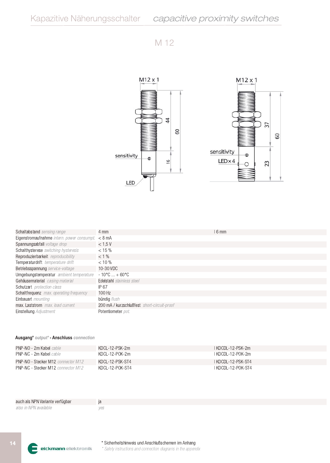

| <b>Schaltabstand</b> sensing range                                | 4 mm                                        | l 6 mm |
|-------------------------------------------------------------------|---------------------------------------------|--------|
| Eigenstromaufnahme intern. power consumpt. $\langle 8 \rangle$ mA |                                             |        |
| Spannungsabfall voltage drop                                      | < 1.5 V                                     |        |
| Schalthysterese switching hysteresis                              | $< 15 \%$                                   |        |
| Reproduzierbarkeit reproducibility                                | $< 1 \%$                                    |        |
| Temperaturdrift temperature drift                                 | $< 10 \%$                                   |        |
| Betriebsspannung service-voltage                                  | 10-30 VDC                                   |        |
| Umgebungstemperatur ambient temperature                           | $-10^{\circ}$ C  + 60 $^{\circ}$ C          |        |
| Gehäusematerial casing material                                   | Edelstahl stainless steel                   |        |
| Schutzart protection class                                        | IP 67                                       |        |
| Schaltfrequenz max. operating frequency                           | $100$ Hz                                    |        |
| Einbauart <i>mounting</i>                                         | bündig flush                                |        |
| max. Laststrom max. load current                                  | 200 mA / kurzschlußfest short-circuit-proof |        |
| <b>Einstellung</b> Adjustment                                     | Potentiometer pot.                          |        |
|                                                                   |                                             |        |

| <b>PNP-NO - 2m Kabel</b> cable            | KDCL-12-PSK-2m   | I KDCDL-12-PSK-2m    |
|-------------------------------------------|------------------|----------------------|
| <b>PNP-NC - 2m Kabel</b> cable            | - KDCL-12-POK-2m | 1 KDCDI -12-POK-2m   |
| <b>PNP-NO - Stecker M12</b> connector M12 | KDCL-12-PSK-ST4  | I KDCDI -12-PSK-ST4  |
| PNP-NC - Stecker M12 connector M12        | KDCL-12-POK-ST4  | I KDCDI -12-POK-ST4- |

| auch als NPN Variante verfügbar | la |
|---------------------------------|----|
| also in NPN available           |    |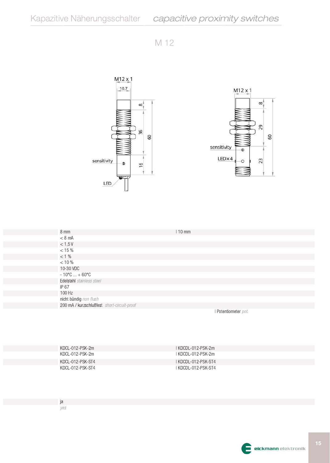

| $8 \text{ mm}$                              | $110$ mm                                                                                                                                                                                                                                                                                                                                                                                                                                                                              |
|---------------------------------------------|---------------------------------------------------------------------------------------------------------------------------------------------------------------------------------------------------------------------------------------------------------------------------------------------------------------------------------------------------------------------------------------------------------------------------------------------------------------------------------------|
| $< 8$ mA                                    |                                                                                                                                                                                                                                                                                                                                                                                                                                                                                       |
| < 1,5V                                      |                                                                                                                                                                                                                                                                                                                                                                                                                                                                                       |
| < 15 %                                      |                                                                                                                                                                                                                                                                                                                                                                                                                                                                                       |
| $< 1\%$                                     |                                                                                                                                                                                                                                                                                                                                                                                                                                                                                       |
| $< 10 \%$                                   |                                                                                                                                                                                                                                                                                                                                                                                                                                                                                       |
| 10-30 VDC                                   |                                                                                                                                                                                                                                                                                                                                                                                                                                                                                       |
| $-10^{\circ}$ C  + 60 $^{\circ}$ C          |                                                                                                                                                                                                                                                                                                                                                                                                                                                                                       |
| Edelstahl stainless steel                   |                                                                                                                                                                                                                                                                                                                                                                                                                                                                                       |
| IP 67                                       |                                                                                                                                                                                                                                                                                                                                                                                                                                                                                       |
| 100 Hz                                      |                                                                                                                                                                                                                                                                                                                                                                                                                                                                                       |
| nicht bündig non flush                      |                                                                                                                                                                                                                                                                                                                                                                                                                                                                                       |
| 200 mA / kurzschlußfest short-circuit-proof |                                                                                                                                                                                                                                                                                                                                                                                                                                                                                       |
|                                             | $\mathbf{1} \cdot \mathbf{B} \cdot \mathbf{1} \cdot \mathbf{1} \cdot \mathbf{1} \cdot \mathbf{1} \cdot \mathbf{1} \cdot \mathbf{1} \cdot \mathbf{1} \cdot \mathbf{1} \cdot \mathbf{1} \cdot \mathbf{1} \cdot \mathbf{1} \cdot \mathbf{1} \cdot \mathbf{1} \cdot \mathbf{1} \cdot \mathbf{1} \cdot \mathbf{1} \cdot \mathbf{1} \cdot \mathbf{1} \cdot \mathbf{1} \cdot \mathbf{1} \cdot \mathbf{1} \cdot \mathbf{1} \cdot \mathbf{1} \cdot \mathbf{1} \cdot \mathbf{1} \cdot \mathbf{$ |

I Potentiometer pot.

| KDCL-012-PSK-2m                      | KDCDI -012-PSK-2m                            |
|--------------------------------------|----------------------------------------------|
| KDCI -012-PSK-2m<br>KDCL-012-PSK-ST4 | I KDCDI -012-PSK-2m .<br>I KDCDL-012-PSK-ST4 |
| KDCL-012-PSK-ST4                     | I KDCDL-012-PSK-ST4                          |

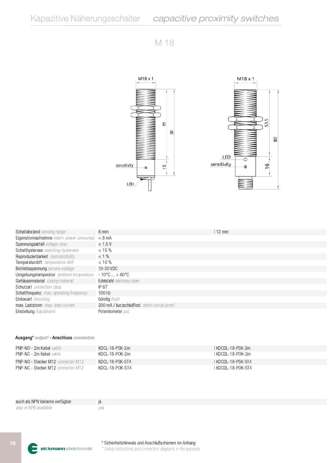

| Schaltabstand sensing range                | 8 mm                                        | $12 \text{ mm}$ |
|--------------------------------------------|---------------------------------------------|-----------------|
| Eigenstromaufnahme intern. power consumpt. | $< 8$ mA                                    |                 |
| Spannungsabfall voltage drop               | < 1.5V                                      |                 |
| Schalthysterese switching hysteresis       | $<$ 15 %                                    |                 |
| Reproduzierbarkeit reproducibility         | $< 1 \%$                                    |                 |
| Temperaturdrift temperature drift          | $< 10 \%$                                   |                 |
| Betriebsspannung service-voltage           | 10-30 VDC                                   |                 |
| Umgebungstemperatur ambient temperature    | $-10^{\circ}$ C  + 60 °C                    |                 |
| Gehäusematerial casing material            | Edelstahl stainless steel                   |                 |
| Schutzart protection class                 | IP 67                                       |                 |
| Schaltfrequenz max. operating frequency    | 100 Hz                                      |                 |
| Einbauart mounting                         | bündig flush                                |                 |
| max. Laststrom max. load current           | 200 mA / kurzschlußfest short-circuit-proof |                 |
| Einstellung Adjustment                     | Potentiometer pot.                          |                 |
|                                            |                                             |                 |

| PNP-NO - 2m Kabel cable                   | KDCL-18-PSK-2m  | I KDCDI -18-PSK-2m_ |
|-------------------------------------------|-----------------|---------------------|
| <b>PNP-NC - 2m Kabel</b> cable            | KDCL-18-POK-2m  | I KDCDI -18-POK-2m  |
| <b>PNP-NO - Stecker M12</b> connector M12 | KDCL-18-PSK-ST4 | I KDCDI -18-PSK-ST4 |
| <b>PNP-NC - Stecker M12</b> connector M12 | KDCL-18-POK-ST4 | I KDCDI -18-POK-ST4 |

| auch als NPN Variante verfügbar |  |
|---------------------------------|--|
| also in NPN available           |  |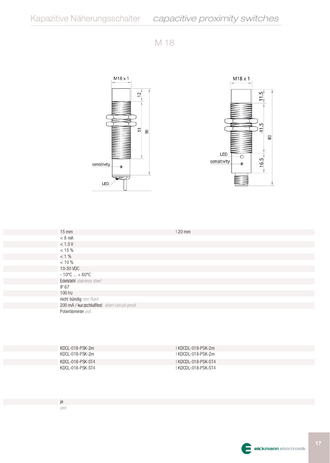

| $15 \text{ mm}$                             | $20 \text{ mm}$ |
|---------------------------------------------|-----------------|
| $< 8$ mA                                    |                 |
| $< 1.5 V$                                   |                 |
| $< 15 %$                                    |                 |
| $< 1\%$                                     |                 |
| $< 10 %$                                    |                 |
| 10-30 VDC                                   |                 |
| $-10^{\circ}$ C  + 60 $^{\circ}$ C          |                 |
| Edelstahl stainless steel                   |                 |
| IP 67                                       |                 |
| 100 Hz                                      |                 |
| nicht bündig non flush                      |                 |
| 200 mA / kurzschlußfest short-circuit-proof |                 |
| Potentiometer pot.                          |                 |

| KDCL-018-PSK-2m  | 1 KDCDL-018-PSK-2m  |
|------------------|---------------------|
| KDCL-018-PSK-2m  | 1 KDCDL-018-PSK-2m  |
| KDCL-018-PSK-ST4 | I KDCDL-018-PSK-ST4 |
| KDCL-018-PSK-ST4 | I KDCDL-018-PSK-ST4 |

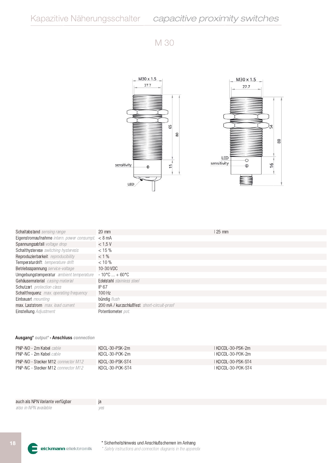

| <b>Schaltabstand</b> sensing range                                | 20 mm                                       | 25 mm |
|-------------------------------------------------------------------|---------------------------------------------|-------|
| Eigenstromaufnahme intern. power consumpt. $\langle 8 \rangle$ mA |                                             |       |
| Spannungsabfall voltage drop                                      | < 1.5V                                      |       |
| Schalthysterese switching hysteresis                              | $<$ 15 %                                    |       |
| Reproduzierbarkeit reproducibility                                | $< 1 \%$                                    |       |
| Temperaturdrift temperature drift                                 | $< 10 \%$                                   |       |
| Betriebsspannung service-voltage                                  | 10-30 VDC                                   |       |
| Umgebungstemperatur ambient temperature                           | $-10^{\circ}$ C  + 60 $^{\circ}$ C          |       |
| Gehäusematerial casing material                                   | Edelstahl stainless steel                   |       |
| Schutzart protection class                                        | IP 67                                       |       |
| Schaltfrequenz max. operating frequency                           | $100$ Hz                                    |       |
| Einbauart <i>mounting</i>                                         | bündig flush                                |       |
| max. Laststrom max. load current                                  | 200 mA / kurzschlußfest short-circuit-proof |       |
| Einstellung Adjustment                                            | Potentiometer pot.                          |       |
|                                                                   |                                             |       |

| PNP-NO - 2m Kabel cable                   | KDCL-30-PSK-2m  | I KDCDI -30-PSK-2m - |
|-------------------------------------------|-----------------|----------------------|
| PNP-NC - 2m Kabel <i>cable</i>            | KDCL-30-POK-2m  | 1 KDCDL-30-POK-2m    |
| <b>PNP-NO - Stecker M12</b> connector M12 | KDCL-30-PSK-ST4 | I KDCDL-30-PSK-ST4   |
| <b>PNP-NC - Stecker M12</b> connector M12 | KDCL-30-POK-ST4 | I KDCDL-30-POK-ST4-  |

| auch als NPN Variante verfügbar |     |
|---------------------------------|-----|
| also in NPN available           | ves |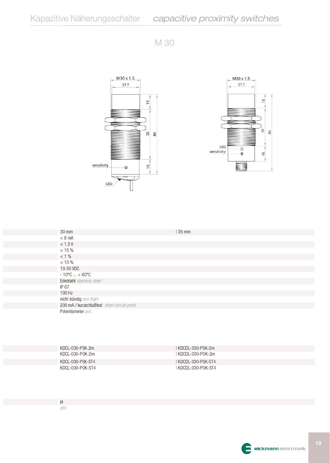



| 30 mm                                       | 35 mm |  |
|---------------------------------------------|-------|--|
| $< 8$ mA                                    |       |  |
| $<$ 1,5 V                                   |       |  |
| $< 15 %$                                    |       |  |
| $< 1\%$                                     |       |  |
| $< 10 %$                                    |       |  |
| 10-30 VDC                                   |       |  |
| $-10^{\circ}$ C  + 60 $^{\circ}$ C          |       |  |
| Edelstahl stainless steel                   |       |  |
| IP 67                                       |       |  |
| 100 Hz                                      |       |  |
| nicht bündig non flush                      |       |  |
| 200 mA / kurzschlußfest short-circuit-proof |       |  |
| Potentiometer pot.                          |       |  |

| KDCL-030-PSK-2m  | I KDCDI -030-PSK-2m -  |
|------------------|------------------------|
| KDCL-030-POK-2m  | I KDCDI -030-POK-2m    |
| KDCL-030-PSK-ST4 | I KDCDL-030-PSK-ST4    |
| KDCL-030-POK-ST4 | I KDCDI -030-POK-ST4 . |

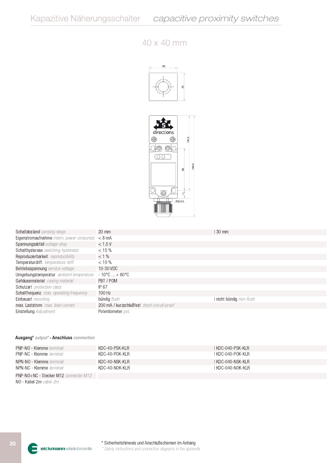## $40 \times 40$  mm





| Schaltabstand sensing range                         | $20 \text{ mm}$                             | 30 mm                    |
|-----------------------------------------------------|---------------------------------------------|--------------------------|
| Eigenstromaufnahme intern. power consumpt. $< 8$ mA |                                             |                          |
| Spannungsabfall voltage drop                        | < 1.5V                                      |                          |
| Schalthysterese switching hysteresis                | $< 15 \%$                                   |                          |
| Reproduzierbarkeit reproducibility                  | $< 1 \%$                                    |                          |
| Temperaturdrift temperature drift                   | $< 10 \%$                                   |                          |
| Betriebsspannung service-voltage                    | 10-30 VDC                                   |                          |
| Umgebungstemperatur ambient temperature             | $-10^{\circ}$ C  + 60 °C                    |                          |
| Gehäusematerial casing material                     | PBT/POM                                     |                          |
| Schutzart protection class                          | IP 67                                       |                          |
| <b>Schaltfrequenz</b> max. operating frequency      | $100$ Hz                                    |                          |
| Einbauart <i>mounting</i>                           | bündig <i>flush</i>                         | I nicht bündig non-flush |
| max. Laststrom max. load current                    | 200 mA / kurzschlußfest short-circuit-proof |                          |
| Einstellung Adjustment                              | Potentiometer pot.                          |                          |

### Ausgang\* output\* - Anschluss connection

| <b>PNP-NO - Klemme</b> terminal | KDC-40-PSK-KLR | I KDC-040-PSK-KI R |
|---------------------------------|----------------|--------------------|
| <b>PNP-NC - Klemme terminal</b> | KDC-40-POK-KLR | I KDC-040-POK-KLR. |
| NPN-NO - Klemme terminal        | KDC-40-NSK-KLR | I KDC-040-NSK-KI R |
| NPN-NC - Klemme terminal        | KDC-40-NOK-KLR | I KDC-040-NOK-KLR  |
| $DMD MO. NLO. QL = L = MAO.$    |                |                    |

PNP-NO+NC - Stecker M12 connector M12 NO - Kabel 2m cable 2m

eickmann elektronik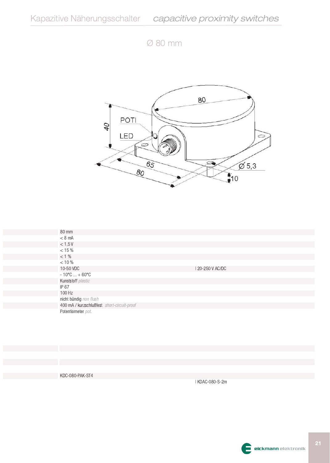Ø 80 mm



| <b>80 mm</b>                                |                 |
|---------------------------------------------|-----------------|
| $< 8$ mA                                    |                 |
| $< 1.5 V$                                   |                 |
| < 15 %                                      |                 |
| $< 1\%$                                     |                 |
| < 10 %                                      |                 |
| 10-50 VDC                                   | 120-250 V AC/DC |
| $-10^{\circ}$ C  + 60 $^{\circ}$ C          |                 |
| Kunststoff plastic                          |                 |
| IP 67                                       |                 |
| 100 Hz                                      |                 |
| nicht bündig non flush                      |                 |
| 400 mA / kurzschlußfest short-circuit-proof |                 |
| Potentiometer pot.                          |                 |

KDC-080-PAK-ST4

I KDAC-080-S-2m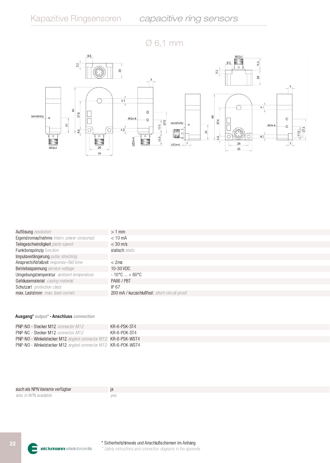$\varnothing$  6,1 mm



| Auflösung resolution                       | $>1$ mm                                     |
|--------------------------------------------|---------------------------------------------|
| Eigenstromaufnahme intern. power consumpt. | $< 10$ mA                                   |
| Teilegeschwindigkeit parts-speed           | $<$ 30 m/s                                  |
| Funktionsprinzip function                  | statisch static                             |
| Impulsverlängerung pulse streching         |                                             |
| Ansprech/Abfallzeit response-/fall time    | $<$ 2ms                                     |
| Betriebsspannung service-voltage           | 10-30 VDC                                   |
| Umgebungstemperatur ambient temperature    | $-10^{\circ}$ C  + 60 $^{\circ}$ C          |
| Gehäusematerial casing material            | PA66 / PBT                                  |
| Schutzart protection class                 | IP 67                                       |
| max. Laststrom max. load current           | 200 mA / kurzschlußfest short-circuit-proof |

| <b>PNP-NO - Stecker M12</b> connector M12                            | KR-6-PSK-ST4 |
|----------------------------------------------------------------------|--------------|
| <b>PNP-NC - Stecker M12</b> connector M12                            | KR-6-POK-ST4 |
| <b>PNP-NO</b> - Winkelstecker M12 angled connector M12 KR-6-PSK-WST4 |              |
| <b>PNP-NO</b> - Winkelstecker M12 angled connector M12 KR-6-POK-WST4 |              |

| auch als NPN Variante verfügbar |  |
|---------------------------------|--|
| also in NPN available           |  |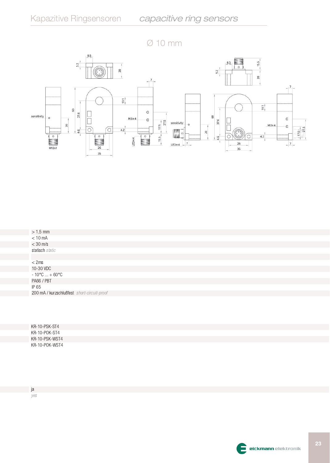



| $> 1,5$ mm                         |  |
|------------------------------------|--|
| $< 10$ mA                          |  |
| $< 30 \; \mathrm{m/s}$             |  |
| statisch static                    |  |
|                                    |  |
|                                    |  |
| $<$ 2ms<br>10-30 VDC               |  |
| $-10^{\circ}$ C  + 60 $^{\circ}$ C |  |
| PA66 / PBT                         |  |
| IP 65                              |  |

| KR-10-PSK-ST4  |  |
|----------------|--|
| KR-10-POK-ST4  |  |
| KR-10-PSK-WST4 |  |
| KR-10-POK-WST4 |  |

ja yes

200 mA / kurzschlußfest short-circuit-proof

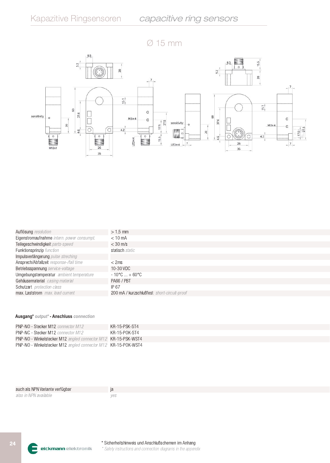$\varnothing$  15 mm



| Auflösung resolution                       | $> 1.5$ mm                                  |
|--------------------------------------------|---------------------------------------------|
| Eigenstromaufnahme intern. power consumpt. | $< 10$ mA                                   |
| Teilegeschwindigkeit parts-speed           | $<$ 30 m/s                                  |
| Funktionsprinzip function                  | statisch static                             |
| Impulsverlängerung pulse streching         |                                             |
| Ansprech/Abfallzeit response-/fall time    | $<$ 2ms                                     |
| Betriebsspannung service-voltage           | 10-30 VDC                                   |
| Umgebungstemperatur ambient temperature    | $-10^{\circ}$ C  + 60 $^{\circ}$ C          |
| Gehäusematerial casing material            | PA66 / PBT                                  |
| Schutzart protection class                 | IP 67                                       |
| max. Laststrom max. load current           | 200 mA / kurzschlußfest short-circuit-proof |

| <b>PNP-NO - Stecker M12</b> connector M12                             | KR-15-PSK-ST4 |
|-----------------------------------------------------------------------|---------------|
| <b>PNP-NC - Stecker M12</b> connector M12                             | KR-15-POK-ST4 |
| <b>PNP-NO</b> - Winkelstecker M12 angled connector M12 KR-15-PSK-WST4 |               |
| <b>PNP-NO</b> - Winkelstecker M12 angled connector M12 KR-15-POK-WST4 |               |

| auch als NPN Variante verfügbar | ıа |
|---------------------------------|----|
| also in NPN available           |    |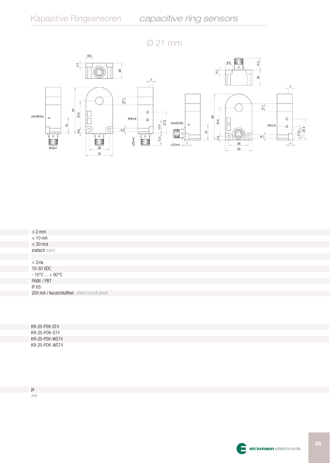



| $> 2$ mm                                    |
|---------------------------------------------|
| $< 10$ mA                                   |
| $<$ 30 m/s                                  |
| statisch static                             |
|                                             |
| $<$ 2ms                                     |
| 10-30 VDC                                   |
| $-10^{\circ}$ C  + 60°C                     |
| PA66 / PBT                                  |
| IP 65                                       |
| 200 mA / kurzschlußfest short-circuit-proof |
|                                             |

| KR-20-PSK-ST4  |  |
|----------------|--|
| KR-20-POK-ST4  |  |
| KR-20-PSK-WST4 |  |
| KR-20-POK-WST4 |  |

ja yes

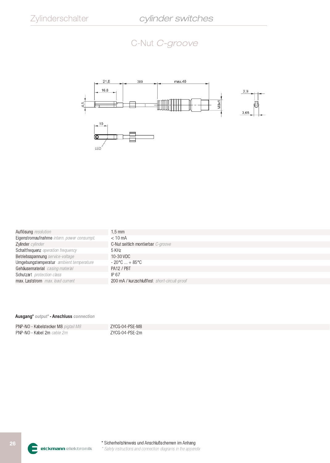# C-Nut C-groove



| Auflösung resolution                       | $.5 \text{ mm}$                             |
|--------------------------------------------|---------------------------------------------|
| Eigenstromaufnahme intern. power consumpt. | $< 10 \text{ mA}$                           |
| Zylinder cylinder                          | C-Nut seitlich montierbar C-groove          |
| Schaltfrequenz operation frequency         | 5 KHz                                       |
| Betriebsspannung service-voltage           | 10-30 VDC                                   |
| Umgebungstemperatur ambient temperature    | $-20^{\circ}$ C  + 85 $^{\circ}$ C .        |
| Gehäusematerial casing material            | PA12 / PBT                                  |
| Schutzart protection class                 | IP 67                                       |
| max. Laststrom max. load current           | 200 mA / kurzschlußfest short-circuit-proof |
|                                            |                                             |

| PNP-NO - Kabelstecker M8 pigtail M8 | ZYCG-04-PSE-M8 |
|-------------------------------------|----------------|
| PNP-NO - Kabel 2m cable 2m          | ZYCG-04-PSE-2m |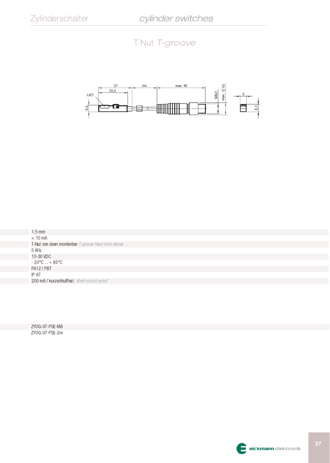## T-Nut T-groove



 $1,5 \text{ mm}$  $< 10$  mA T-Nut von oben montierbar T-groove fixed from above 5 KHz 10-30 VDC  $-20^{\circ}$ C ...  $+85^{\circ}$ C PA12 / PBT IP 67 200 mA / kurzschlußfest short-circuit-proof

ZYOG-07-PSE-M8 ZYOG-07-PSE-2m

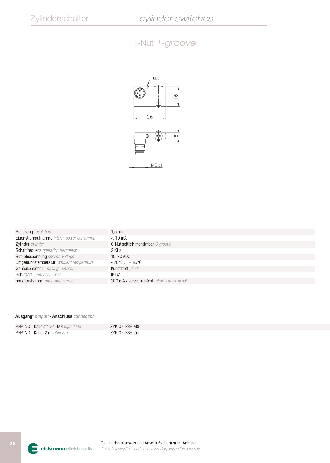## T-Nut T-groove



| Auflösung resolution                       | 1.5 mm                                      |
|--------------------------------------------|---------------------------------------------|
| Eigenstromaufnahme intern. power consumpt. | $< 10 \text{ mA}$                           |
| Zylinder cylinder                          | C-Nut seitlich montierbar C-groove          |
| Schaltfrequenz operation frequency         | 2 KH <sub>7</sub>                           |
| Betriebsspannung service-voltage           | 10-30 VDC                                   |
| Umgebungstemperatur ambient temperature    | $-20^{\circ}$ C  + 85 $^{\circ}$ C          |
| Gehäusematerial casing material            | Kunststoff plastic                          |
| Schutzart protection class                 | IP 67                                       |
| max. Laststrom max. load current           | 200 mA / kurzschlußfest short-circuit-proof |

| PNP-NO - Kabelstecker M8 pigtail M8 | ZYK-07-PSE-M8 |
|-------------------------------------|---------------|
| PNP-NO - Kabel 2m cable 2m          | ZYK-07-PSE-2m |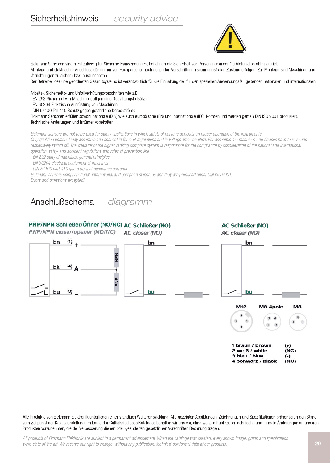Sicherheitshinweis

security advice



Eickmann Sensoren sind nicht zulässig für Sicherheitsanwendungen, bei denen die Sicherheit von Personen von der Gerätefunktion abhängig ist. Montage und elektrischer Anschluss dürfen nur von Fachpersonal nach geltenden Vorschriften in spannungsfreien Zustand erfolgen. Zur Montage sind Maschinen und Vorrichtungen zu sichern bzw. auszuschalten.

Der Betreiber des übergeordneten Gesamtsystems ist verantwortlich für die Einhaltung der für den speziellen Anwendungsfall geltenden nationalen und internationalen

Arbeits-, Sicherheits- und Unfallverhütungsvorschriften wie z.B.

· EN 292 Sicherheit von Maschinen, allgemeine Gestaltungsleitsätze

· EN 60204 Elektrische Ausrüstung von Maschinen

· DIN 57100 Teil 410 Schutz gegen gefährliche Körperströme

Eickmann Sensoren erfüllen sowohl nationale (DIN) wie auch europäische (EN) und internationale (IEC) Normen und werden gemäß DIN ISO 9001 produziert. Technische Änderungen und Irrtümer vobehalten!

Eickmann sensors are not to be used for safety applications in which safety of persons depends on proper operation of the instruments

Only qualified personal may assemble and connect in force of regulations and in voltage-free condition. For assemble the machines and devices have to save and respectively switch off. The operator of the higher ranking complete system is responsible for the compliance by consideration of the national and international operation, safty- and accident regulations and rules of prevention like

· EN 292 safty of machines, general principles

· EN 60204 electrical equipment of machines

· DIN 57100 part 410 guard against dangerous currents

Eickmann sensors comply national, international and european standards and they are produced under DIN ISO 9001. Errors and omissions excepted!

#### Anschlußschema diagramm

## PNP/NPN Schließer/Öffner (NO/NC) AC Schließer (NO)

PNP/NPN closer/opener (NO/NC)



**AC Schließer (NO)** 



Alle Produkte von Eickmann Elektronik unterliegen einer ständigen Weiterentwicklung. Alle gezeigten Abbildungen, Zeichnungen und Spezifikationen präsentieren den Stand zum Zeitpunkt der Katalogerstellung. Im Laufe der Gültigkeit dieses Kataloges behalten wir uns vor, ohne weitere Publikation technische und formale Änderungen an unseren Produkten vorzunehmen, die der Verbesserung dienen oder geänderten gesetzlichen Vorschriften Rechnung tragen.